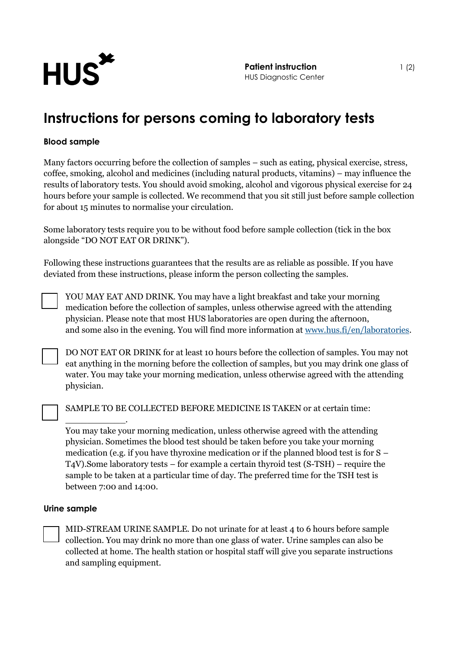

## **Instructions for persons coming to laboratory tests**

## **Blood sample**

Many factors occurring before the collection of samples – such as eating, physical exercise, stress, coffee, smoking, alcohol and medicines (including natural products, vitamins) – may influence the results of laboratory tests. You should avoid smoking, alcohol and vigorous physical exercise for 24 hours before your sample is collected. We recommend that you sit still just before sample collection for about 15 minutes to normalise your circulation.

Some laboratory tests require you to be without food before sample collection (tick in the box alongside "DO NOT EAT OR DRINK").

Following these instructions guarantees that the results are as reliable as possible. If you have deviated from these instructions, please inform the person collecting the samples.

YOU MAY EAT AND DRINK. You may have a light breakfast and take your morning medication before the collection of samples, unless otherwise agreed with the attending physician. Please note that most HUS laboratories are open during the afternoon, and some also in the evening. You will find more information at [www.hus.fi/en/laboratories.](http://www.hus.fi/en/laboratories)

DO NOT EAT OR DRINK for at least 10 hours before the collection of samples. You may not eat anything in the morning before the collection of samples, but you may drink one glass of water. You may take your morning medication, unless otherwise agreed with the attending physician.

SAMPLE TO BE COLLECTED BEFORE MEDICINE IS TAKEN or at certain time:

You may take your morning medication, unless otherwise agreed with the attending physician. Sometimes the blood test should be taken before you take your morning medication (e.g. if you have thyroxine medication or if the planned blood test is for S – T4V).Some laboratory tests – for example a certain thyroid test (S-TSH) – require the sample to be taken at a particular time of day. The preferred time for the TSH test is between 7:00 and 14:00.

## **Urine sample**

\_\_\_\_\_\_\_\_\_\_\_.

MID-STREAM URINE SAMPLE. Do not urinate for at least 4 to 6 hours before sample collection. You may drink no more than one glass of water. Urine samples can also be collected at home. The health station or hospital staff will give you separate instructions and sampling equipment.